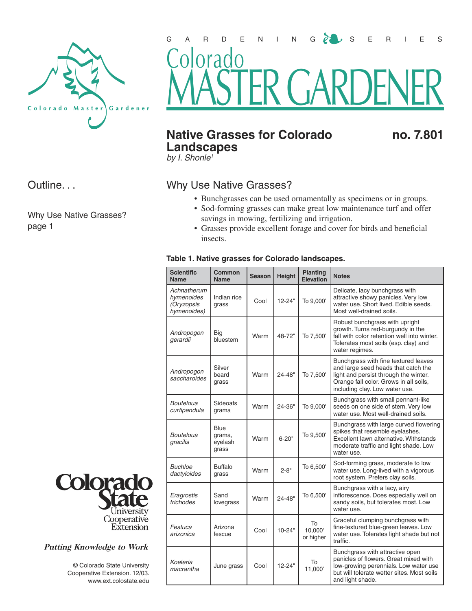

Outline. . .

Why Use Native Grasses? page 1



## **Native Grasses for Colorado ho. 7.801 Landscapes**

by *I*. Shonle<sup>1</sup>

## Why Use Native Grasses?

- Bunchgrasses can be used ornamentally as specimens or in groups.
- Sod-forming grasses can make great low maintenance turf and offer savings in mowing, fertilizing and irrigation.
- Grasses provide excellent forage and cover for birds and beneficial insects.

## **Table 1. Native grasses for Colorado landscapes.**

| <b>Scientific</b><br><b>Name</b>                       | Common<br>Name                     | <b>Season</b> | <b>Height</b> | <b>Planting</b><br><b>Elevation</b> | <b>Notes</b>                                                                                                                                                                                     |
|--------------------------------------------------------|------------------------------------|---------------|---------------|-------------------------------------|--------------------------------------------------------------------------------------------------------------------------------------------------------------------------------------------------|
| Achnatherum<br>hymenoides<br>(Oryzopsis<br>hymenoides) | Indian rice<br>grass               | Cool          | $12 - 24"$    | To 9,000'                           | Delicate, lacy bunchgrass with<br>attractive showy panicles. Very low<br>water use. Short lived. Edible seeds.<br>Most well-drained soils.                                                       |
| Andropogon<br>gerardii                                 | Big<br>bluestem                    | Warm          | 48-72"        | To 7,500'                           | Robust bunchgrass with upright<br>growth. Turns red-burgundy in the<br>fall with color retention well into winter.<br>Tolerates most soils (esp. clay) and<br>water regimes.                     |
| Andropogon<br>saccharoides                             | Silver<br>beard<br>grass           | Warm          | $24 - 48"$    | To 7,500'                           | Bunchgrass with fine textured leaves<br>and large seed heads that catch the<br>light and persist through the winter.<br>Orange fall color. Grows in all soils,<br>including clay. Low water use. |
| Bouteloua<br>curtipendula                              | Sideoats<br>grama                  | Warm          | 24-36"        | To 9,000'                           | Bunchgrass with small pennant-like<br>seeds on one side of stem. Very low<br>water use. Most well-drained soils.                                                                                 |
| Bouteloua<br>gracilis                                  | Blue<br>grama,<br>eyelash<br>grass | Warm          | $6 - 20"$     | To 9,500'                           | Bunchgrass with large curved flowering<br>spikes that resemble eyelashes.<br>Excellent lawn alternative. Withstands<br>moderate traffic and light shade. Low<br>water use.                       |
| <b>Buchloe</b><br>dactyloides                          | Buffalo<br>grass                   | Warm          | $2 - 8$ "     | To 6,500'                           | Sod-forming grass, moderate to low<br>water use. Long-lived with a vigorous<br>root system. Prefers clay soils.                                                                                  |
| Eragrostis<br>trichodes                                | Sand<br>lovegrass                  | Warm          | $24 - 48"$    | To 6,500'                           | Bunchgrass with a lacy, airy<br>inflorescence. Does especially well on<br>sandy soils, but tolerates most. Low<br>water use.                                                                     |
| Festuca<br>arizonica                                   | Arizona<br>fescue                  | Cool          | $10 - 24"$    | To<br>10,000<br>or higher           | Graceful clumping bunchgrass with<br>fine-textured blue-green leaves. Low<br>water use. Tolerates light shade but not<br>traffic.                                                                |
| Koeleria<br>macrantha                                  | June grass                         | Cool          | $12 - 24"$    | To<br>11,000'                       | Bunchgrass with attractive open<br>panicles of flowers. Great mixed with<br>low-growing perennials. Low water use<br>but will tolerate wetter sites. Most soils<br>and light shade.              |



## **Putting Knowledge to Work**

 © Colorado State University Cooperative Extension. 12/03. www.ext.colostate.edu